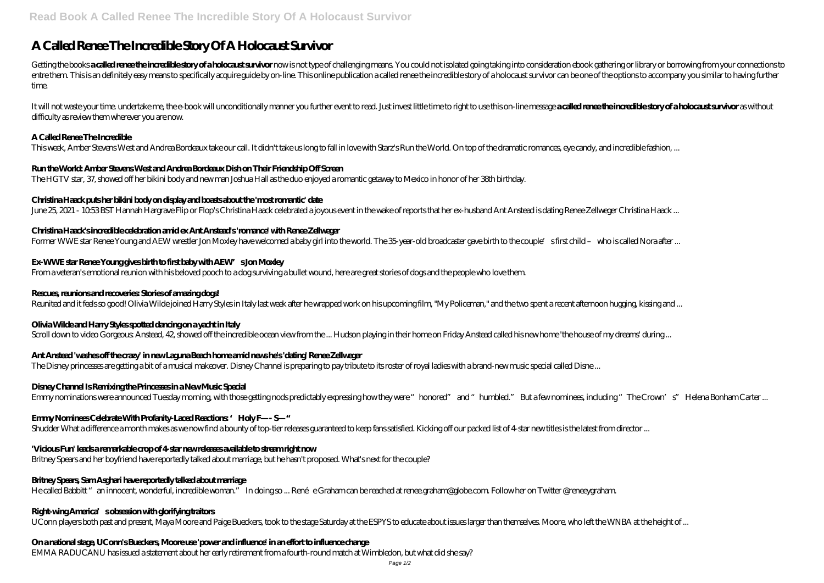# **A Called Renee The Incredible Story Of A Holocaust Survivor**

Getting the books a called renee the incredible story of a holocarst survivor now is not type of challenging means. You could not isolated going taking into consideration ebook gathering or library or borrowing from your c entre them. This is an definitely easy means to specifically acquire guide by on-line. This online publication a called renee the incredible story of a holocaust survivor can be one of the options to accompany you similar time.

It will not waste your time, undertake me, the e-book will unconditionally manner you further event to read. Just invest little time to right to use this on-line message a called renee the incredible story of a holocaust s difficulty as review them wherever you are now.

#### **A Called Renee The Incredible**

This week, Amber Stevens West and Andrea Bordeaux take our call. It didn't take us long to fall in love with Starz's Run the World. On top of the dramatic romances, eye candy, and incredible fashion, ...

# **Run the World: Amber Stevens West and Andrea Bordeaux Dish on Their Friendship Off Screen**

The HGTV star, 37, showed off her bikini body and new man Joshua Hall as the duo enjoyed a romantic getaway to Mexico in honor of her 38th birthday.

#### **Christina Haack puts her bikini body on display and boasts about the 'most romantic' date**

June 25, 2021 - 10.53 BST Hannah Hargrave Flip or Flop's Christina Haack celebrated a joyous event in the wake of reports that her ex-husband Ant Anstead is dating Renee Zellweger Christina Haack ...

#### **Christina Haack's incredible celebration amid ex Ant Anstead's 'romance' with Renee Zellweger**

Former WWE star Renee Young and AEW wrestler Jon Moxley have welcomed a baby girl into the world. The 35-year-old broadcaster gave birth to the couple's first child – who is called Nora after ...

# **Ex-WWE star Renee Young gives birth to first baby with AEW's Jon Moxley**

From a veteran's emotional reunion with his beloved pooch to a dog surviving a bullet wound, here are great stories of dogs and the people who love them.

### **Rescues, reunions and recoveries: Stories of amazing dogs!**

Reunited and it feels so good! Olivia Wilde joined Harry Styles in Italy last week after he wrapped work on his upcoming film, "My Policeman," and the two spent a recent afternoon hugging, kissing and ...

# **Olivia Wilde and Harry Styles spotted dancing on a yacht in Italy**

Scroll down to video Gorgeous: Anstead, 42, showed off the incredible ocean view from the ... Hudson playing in their home on Friday Anstead called his new home 'the house of my dreams' during ...

# **Ant Anstead 'washes off the crazy' in new Laguna Beach home amid news he's 'dating' Renee Zellweger**

The Disney princesses are getting a bit of a musical makeover. Disney Channel is preparing to pay tribute to its roster of royal ladies with a brand-new music special called Disne ...

# **Disney Channel Is Remixing the Princesses in a New Music Special**

Emmy nominations were announced Tuesday morning, with those getting nods predictably expressing how they were "honored" and "humbled." But a few nominees, including "The Crown's" Helena Bonham Carter ...

# **Emmy Nominees Celebrate With Profanity-Laced Reactions: 'Holy F—- S—"**

Shudder What a difference a month makes as we now find a bounty of top-tier releases guaranteed to keep fans satisfied. Kicking off our packed list of 4-star new titles is the latest from director ...

# **'Vicious Fun' leads a remarkable crop of 4-star new releases available to stream right now**

Britney Spears and her boyfriend have reportedly talked about marriage, but he hasn't proposed. What's next for the couple?

# **Britney Spears, Sam Asghari have reportedly talked about marriage**

He called Babbitt "an innocent, wonderful, incredible woman." In doing so ... Renée Graham can be reached at renee graham@globe.com. Follow her on Twitter @reneeygraham.

#### **Right-wing America's obsession with glorifying traitors**

UConn players both past and present, Maya Moore and Paige Bueckers, took to the stage Saturday at the ESPYS to educate about issues larger than themselves. Moore, who left the WNBA at the height of ...

#### **On a national stage, UConn's Bueckers, Moore use 'power and influence' in an effort to influence change**

EMMA RADUCANU has issued a statement about her early retirement from a fourth-round match at Wimbledon, but what did she say?